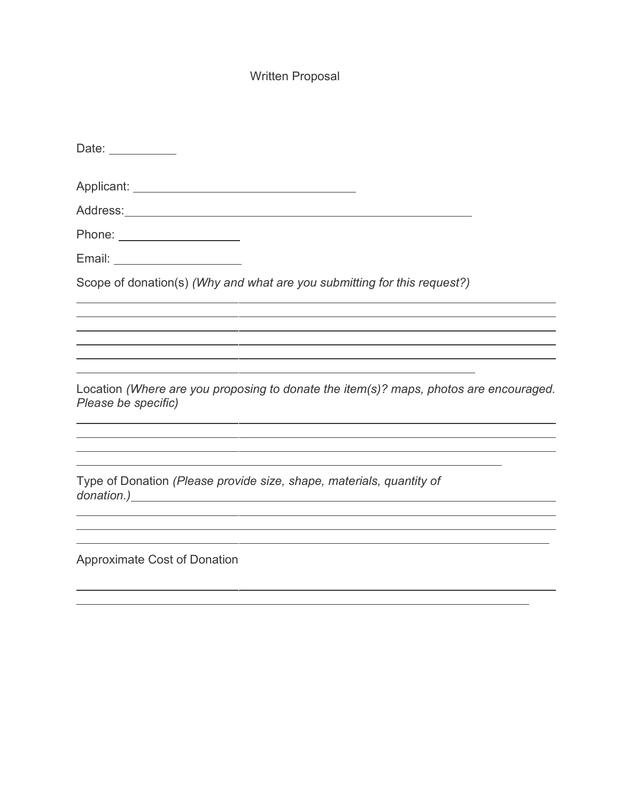# Written Proposal

| Date: ____________                                                                                           |
|--------------------------------------------------------------------------------------------------------------|
|                                                                                                              |
|                                                                                                              |
| Phone: ____________________                                                                                  |
| Email: _______________________                                                                               |
| Scope of donation(s) (Why and what are you submitting for this request?)                                     |
|                                                                                                              |
|                                                                                                              |
| Location (Where are you proposing to donate the item(s)? maps, photos are encouraged.<br>Please be specific) |
| Type of Donation (Please provide size, shape, materials, quantity of                                         |
| <b>Approximate Cost of Donation</b>                                                                          |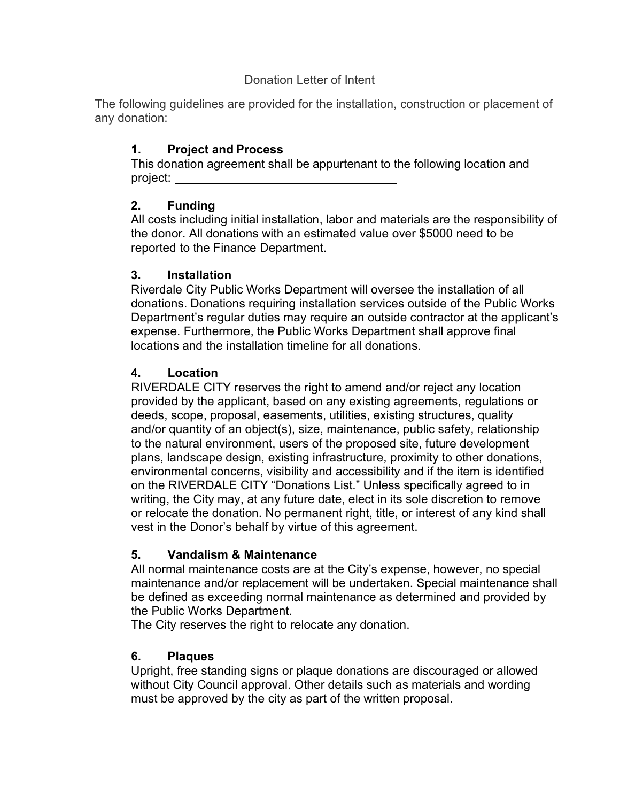#### Donation Letter of Intent

The following guidelines are provided for the installation, construction or placement of any donation:

# 1. Project and Process

This donation agreement shall be appurtenant to the following location and project:

# 2. Funding

All costs including initial installation, labor and materials are the responsibility of the donor. All donations with an estimated value over \$5000 need to be reported to the Finance Department.

## 3. Installation

Riverdale City Public Works Department will oversee the installation of all donations. Donations requiring installation services outside of the Public Works Department's regular duties may require an outside contractor at the applicant's expense. Furthermore, the Public Works Department shall approve final locations and the installation timeline for all donations.

# 4. Location

RIVERDALE CITY reserves the right to amend and/or reject any location provided by the applicant, based on any existing agreements, regulations or deeds, scope, proposal, easements, utilities, existing structures, quality and/or quantity of an object(s), size, maintenance, public safety, relationship to the natural environment, users of the proposed site, future development plans, landscape design, existing infrastructure, proximity to other donations, environmental concerns, visibility and accessibility and if the item is identified on the RIVERDALE CITY "Donations List." Unless specifically agreed to in writing, the City may, at any future date, elect in its sole discretion to remove or relocate the donation. No permanent right, title, or interest of any kind shall vest in the Donor's behalf by virtue of this agreement.

## 5. Vandalism & Maintenance

All normal maintenance costs are at the City's expense, however, no special maintenance and/or replacement will be undertaken. Special maintenance shall be defined as exceeding normal maintenance as determined and provided by the Public Works Department.

The City reserves the right to relocate any donation.

# 6. Plaques

Upright, free standing signs or plaque donations are discouraged or allowed without City Council approval. Other details such as materials and wording must be approved by the city as part of the written proposal.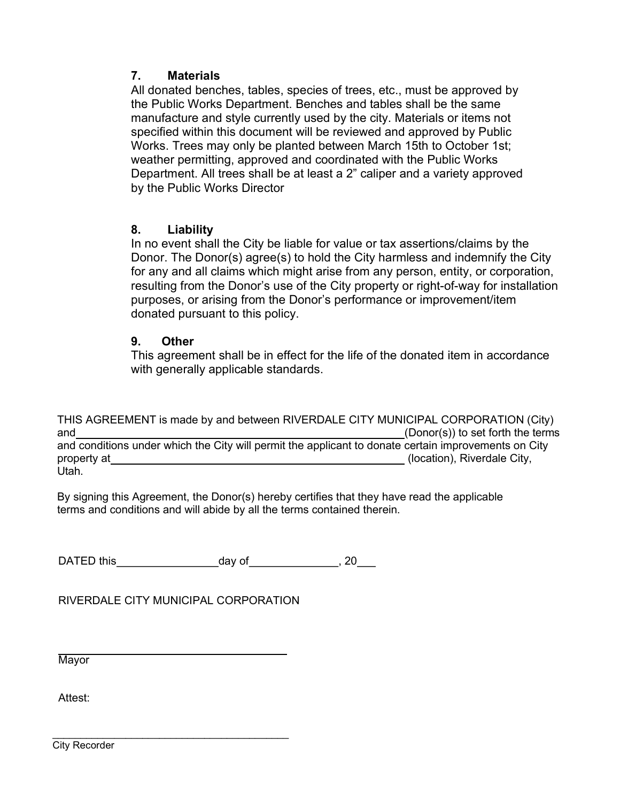#### 7. Materials

All donated benches, tables, species of trees, etc., must be approved by the Public Works Department. Benches and tables shall be the same manufacture and style currently used by the city. Materials or items not specified within this document will be reviewed and approved by Public Works. Trees may only be planted between March 15th to October 1st; weather permitting, approved and coordinated with the Public Works Department. All trees shall be at least a 2" caliper and a variety approved by the Public Works Director

#### 8. Liability

In no event shall the City be liable for value or tax assertions/claims by the Donor. The Donor(s) agree(s) to hold the City harmless and indemnify the City for any and all claims which might arise from any person, entity, or corporation, resulting from the Donor's use of the City property or right-of-way for installation purposes, or arising from the Donor's performance or improvement/item donated pursuant to this policy.

#### 9. Other

This agreement shall be in effect for the life of the donated item in accordance with generally applicable standards.

THIS AGREEMENT is made by and between RIVERDALE CITY MUNICIPAL CORPORATION (City) and (Donor(s)) to set forth the terms and conditions under which the City will permit the applicant to donate certain improvements on City property at <u>example and the contract of the contract of the contract of the city,</u> (location), Riverdale City, Utah.

By signing this Agreement, the Donor(s) hereby certifies that they have read the applicable terms and conditions and will abide by all the terms contained therein.

DATED this day of day of 30

RIVERDALE CITY MUNICIPAL CORPORATION

**Mavor** 

Attest:

City Recorder